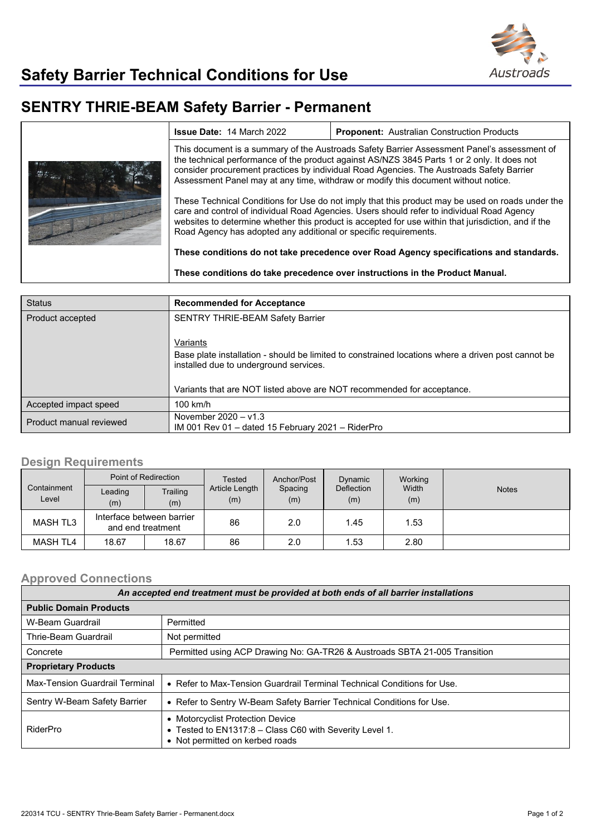

## **SENTRY THRIE-BEAM Safety Barrier - Permanent**

|  | <b>Issue Date: 14 March 2022</b>                                                                                                                                                                                                                                                                                                                                             | <b>Proponent: Australian Construction Products</b> |  |  |  |
|--|------------------------------------------------------------------------------------------------------------------------------------------------------------------------------------------------------------------------------------------------------------------------------------------------------------------------------------------------------------------------------|----------------------------------------------------|--|--|--|
|  | This document is a summary of the Austroads Safety Barrier Assessment Panel's assessment of<br>the technical performance of the product against AS/NZS 3845 Parts 1 or 2 only. It does not<br>consider procurement practices by individual Road Agencies. The Austroads Safety Barrier<br>Assessment Panel may at any time, withdraw or modify this document without notice. |                                                    |  |  |  |
|  | These Technical Conditions for Use do not imply that this product may be used on roads under the<br>care and control of individual Road Agencies. Users should refer to individual Road Agency<br>websites to determine whether this product is accepted for use within that jurisdiction, and if the<br>Road Agency has adopted any additional or specific requirements.    |                                                    |  |  |  |
|  | These conditions do not take precedence over Road Agency specifications and standards.<br>These conditions do take precedence over instructions in the Product Manual.                                                                                                                                                                                                       |                                                    |  |  |  |
|  |                                                                                                                                                                                                                                                                                                                                                                              |                                                    |  |  |  |

| <b>Status</b>           | <b>Recommended for Acceptance</b>                                                                                                                                                                                                  |
|-------------------------|------------------------------------------------------------------------------------------------------------------------------------------------------------------------------------------------------------------------------------|
| Product accepted        | <b>SENTRY THRIE-BEAM Safety Barrier</b>                                                                                                                                                                                            |
|                         | Variants<br>Base plate installation - should be limited to constrained locations where a driven post cannot be<br>installed due to underground services.<br>Variants that are NOT listed above are NOT recommended for acceptance. |
| Accepted impact speed   | $100$ km/h                                                                                                                                                                                                                         |
| Product manual reviewed | November $2020 - v1.3$<br>IM 001 Rev 01 – dated 15 February 2021 – RiderPro                                                                                                                                                        |

## **Design Requirements**

|                      | Point of Redirection                           |                 | <b>Tested</b>         | Anchor/Post    | Dynamic                  | Working      |              |
|----------------------|------------------------------------------------|-----------------|-----------------------|----------------|--------------------------|--------------|--------------|
| Containment<br>Level | Leading<br>(m)                                 | Trailing<br>(m) | Article Length<br>(m) | Spacing<br>(m) | <b>Deflection</b><br>(m) | Width<br>(m) | <b>Notes</b> |
| MASH TL3             | Interface between barrier<br>and end treatment |                 | 86                    | 2.0            | 1.45                     | 1.53         |              |
| <b>MASH TL4</b>      | 18.67                                          | 18.67           | 86                    | 2.0            | 1.53                     | 2.80         |              |

## **Approved Connections**

| An accepted end treatment must be provided at both ends of all barrier installations |                                                                                                                                |  |  |  |
|--------------------------------------------------------------------------------------|--------------------------------------------------------------------------------------------------------------------------------|--|--|--|
| <b>Public Domain Products</b>                                                        |                                                                                                                                |  |  |  |
| W-Beam Guardrail                                                                     | Permitted                                                                                                                      |  |  |  |
| Thrie-Beam Guardrail                                                                 | Not permitted                                                                                                                  |  |  |  |
| Concrete                                                                             | Permitted using ACP Drawing No: GA-TR26 & Austroads SBTA 21-005 Transition                                                     |  |  |  |
| <b>Proprietary Products</b>                                                          |                                                                                                                                |  |  |  |
| Max-Tension Guardrail Terminal                                                       | • Refer to Max-Tension Guardrail Terminal Technical Conditions for Use.                                                        |  |  |  |
| Sentry W-Beam Safety Barrier                                                         | • Refer to Sentry W-Beam Safety Barrier Technical Conditions for Use.                                                          |  |  |  |
| RiderPro                                                                             | • Motorcyclist Protection Device<br>• Tested to EN1317:8 - Class C60 with Severity Level 1.<br>• Not permitted on kerbed roads |  |  |  |